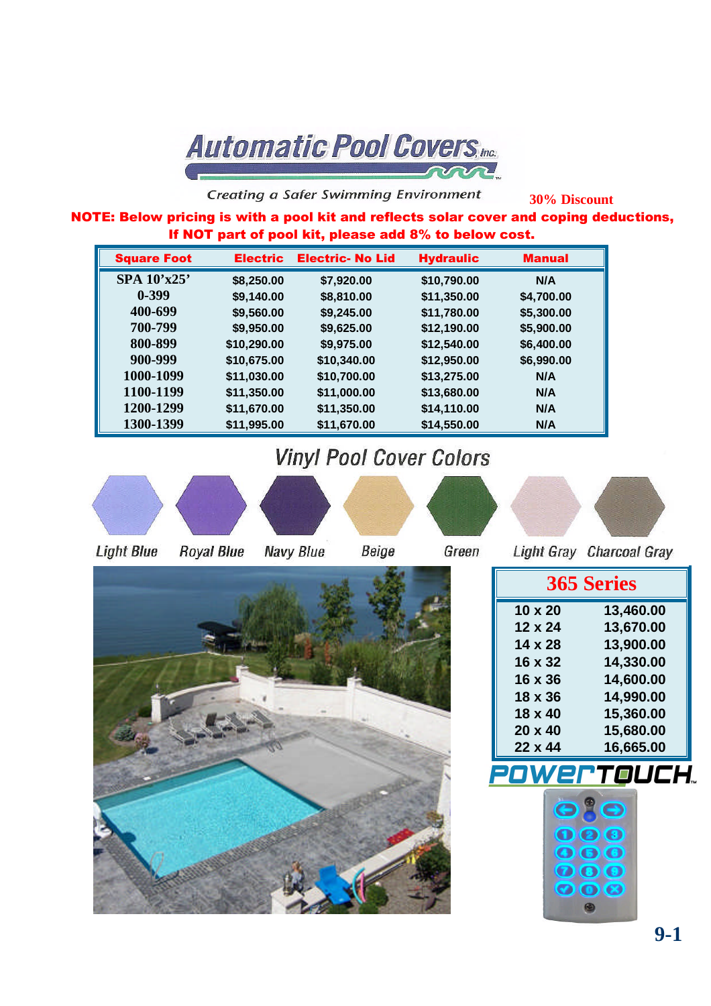**Automatic Pool Covers, Inc.** ann

**Creating a Safer Swimming Environment** 

**30% Discount**

NOTE: Below pricing is with a pool kit and reflects solar cover and coping deductions, If NOT part of pool kit, please add 8% to below cost.

| <b>Square Foot</b> | <b>Electric</b> | <b>Electric- No Lid</b> | <b>Hydraulic</b> | <b>Manual</b> |
|--------------------|-----------------|-------------------------|------------------|---------------|
| SPA 10'x25'        | \$8,250.00      | \$7,920.00              | \$10,790.00      | N/A           |
| $0 - 399$          | \$9,140.00      | \$8,810.00              | \$11,350.00      | \$4,700.00    |
| 400-699            | \$9,560.00      | \$9,245.00              | \$11,780.00      | \$5,300.00    |
| 700-799            | \$9,950.00      | \$9,625.00              | \$12,190.00      | \$5,900.00    |
| 800-899            | \$10,290.00     | \$9,975.00              | \$12,540.00      | \$6,400.00    |
| 900-999            | \$10,675.00     | \$10,340.00             | \$12,950.00      | \$6,990.00    |
| 1000-1099          | \$11,030.00     | \$10,700.00             | \$13,275.00      | N/A           |
| 1100-1199          | \$11,350.00     | \$11,000.00             | \$13,680.00      | N/A           |
| 1200-1299          | \$11,670.00     | \$11,350.00             | \$14,110.00      | N/A           |
| 1300-1399          | \$11,995.00     | \$11,670.00             | \$14,550.00      | N/A           |

## **Vinyl Pool Cover Colors**